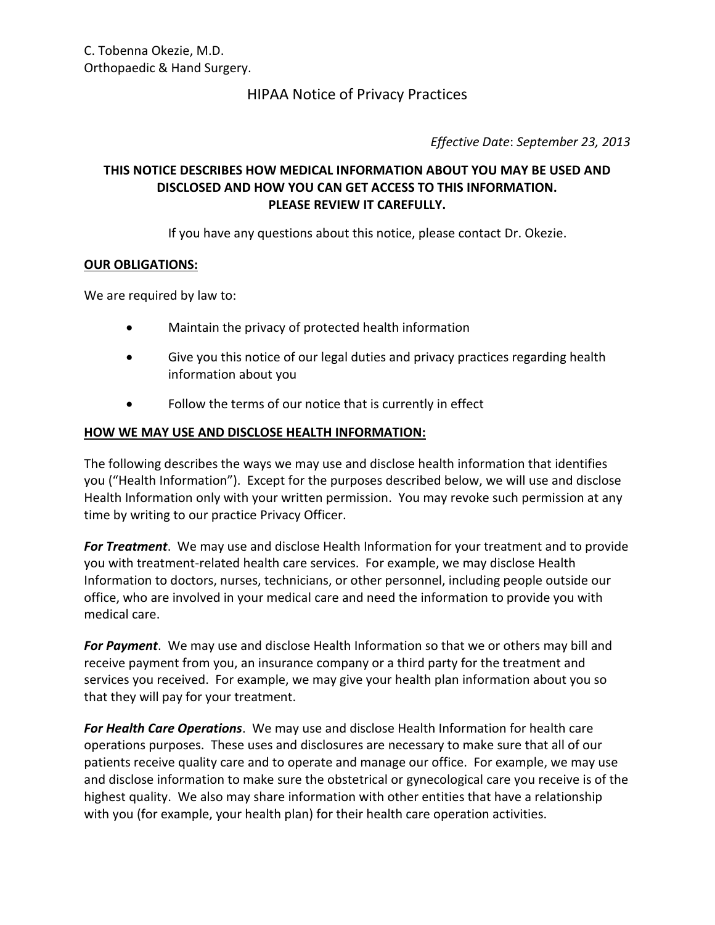# HIPAA Notice of Privacy Practices

*Effective Date*: *September 23, 2013*

# **THIS NOTICE DESCRIBES HOW MEDICAL INFORMATION ABOUT YOU MAY BE USED AND DISCLOSED AND HOW YOU CAN GET ACCESS TO THIS INFORMATION. PLEASE REVIEW IT CAREFULLY.**

If you have any questions about this notice, please contact Dr. Okezie.

#### **OUR OBLIGATIONS:**

We are required by law to:

- Maintain the privacy of protected health information
- Give you this notice of our legal duties and privacy practices regarding health information about you
- Follow the terms of our notice that is currently in effect

#### **HOW WE MAY USE AND DISCLOSE HEALTH INFORMATION:**

The following describes the ways we may use and disclose health information that identifies you ("Health Information"). Except for the purposes described below, we will use and disclose Health Information only with your written permission. You may revoke such permission at any time by writing to our practice Privacy Officer.

*For Treatment*. We may use and disclose Health Information for your treatment and to provide you with treatment-related health care services. For example, we may disclose Health Information to doctors, nurses, technicians, or other personnel, including people outside our office, who are involved in your medical care and need the information to provide you with medical care.

*For Payment*. We may use and disclose Health Information so that we or others may bill and receive payment from you, an insurance company or a third party for the treatment and services you received. For example, we may give your health plan information about you so that they will pay for your treatment.

*For Health Care Operations*. We may use and disclose Health Information for health care operations purposes. These uses and disclosures are necessary to make sure that all of our patients receive quality care and to operate and manage our office. For example, we may use and disclose information to make sure the obstetrical or gynecological care you receive is of the highest quality. We also may share information with other entities that have a relationship with you (for example, your health plan) for their health care operation activities.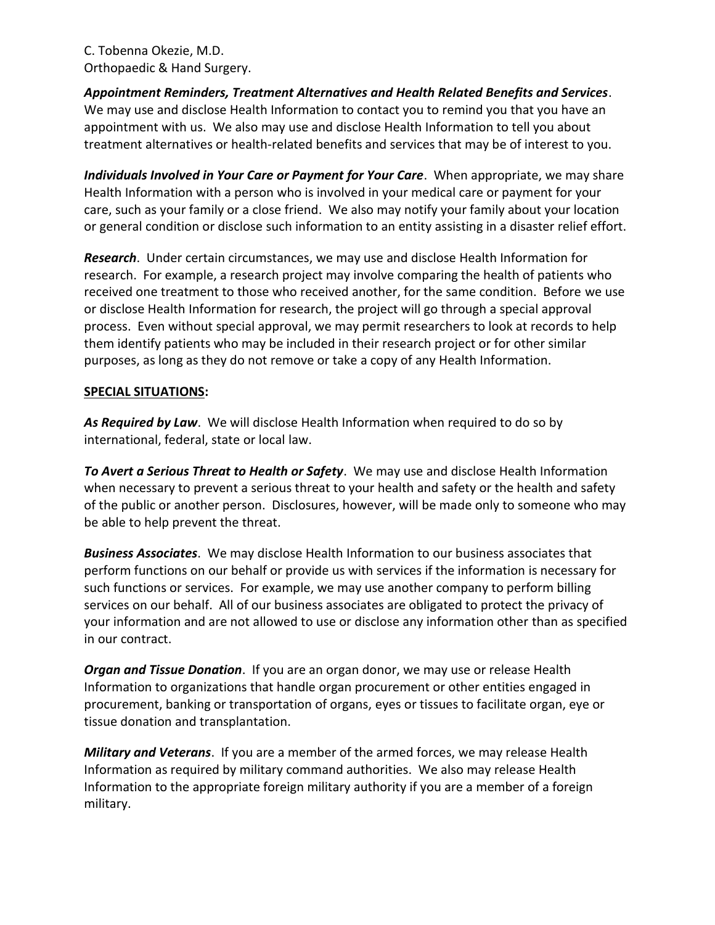*Appointment Reminders, Treatment Alternatives and Health Related Benefits and Services*. We may use and disclose Health Information to contact you to remind you that you have an appointment with us. We also may use and disclose Health Information to tell you about treatment alternatives or health-related benefits and services that may be of interest to you.

*Individuals Involved in Your Care or Payment for Your Care*. When appropriate, we may share Health Information with a person who is involved in your medical care or payment for your care, such as your family or a close friend. We also may notify your family about your location or general condition or disclose such information to an entity assisting in a disaster relief effort.

*Research*. Under certain circumstances, we may use and disclose Health Information for research. For example, a research project may involve comparing the health of patients who received one treatment to those who received another, for the same condition. Before we use or disclose Health Information for research, the project will go through a special approval process. Even without special approval, we may permit researchers to look at records to help them identify patients who may be included in their research project or for other similar purposes, as long as they do not remove or take a copy of any Health Information.

#### **SPECIAL SITUATIONS:**

*As Required by Law*. We will disclose Health Information when required to do so by international, federal, state or local law.

*To Avert a Serious Threat to Health or Safety*. We may use and disclose Health Information when necessary to prevent a serious threat to your health and safety or the health and safety of the public or another person. Disclosures, however, will be made only to someone who may be able to help prevent the threat.

*Business Associates*. We may disclose Health Information to our business associates that perform functions on our behalf or provide us with services if the information is necessary for such functions or services. For example, we may use another company to perform billing services on our behalf. All of our business associates are obligated to protect the privacy of your information and are not allowed to use or disclose any information other than as specified in our contract.

*Organ and Tissue Donation*. If you are an organ donor, we may use or release Health Information to organizations that handle organ procurement or other entities engaged in procurement, banking or transportation of organs, eyes or tissues to facilitate organ, eye or tissue donation and transplantation.

*Military and Veterans*. If you are a member of the armed forces, we may release Health Information as required by military command authorities. We also may release Health Information to the appropriate foreign military authority if you are a member of a foreign military.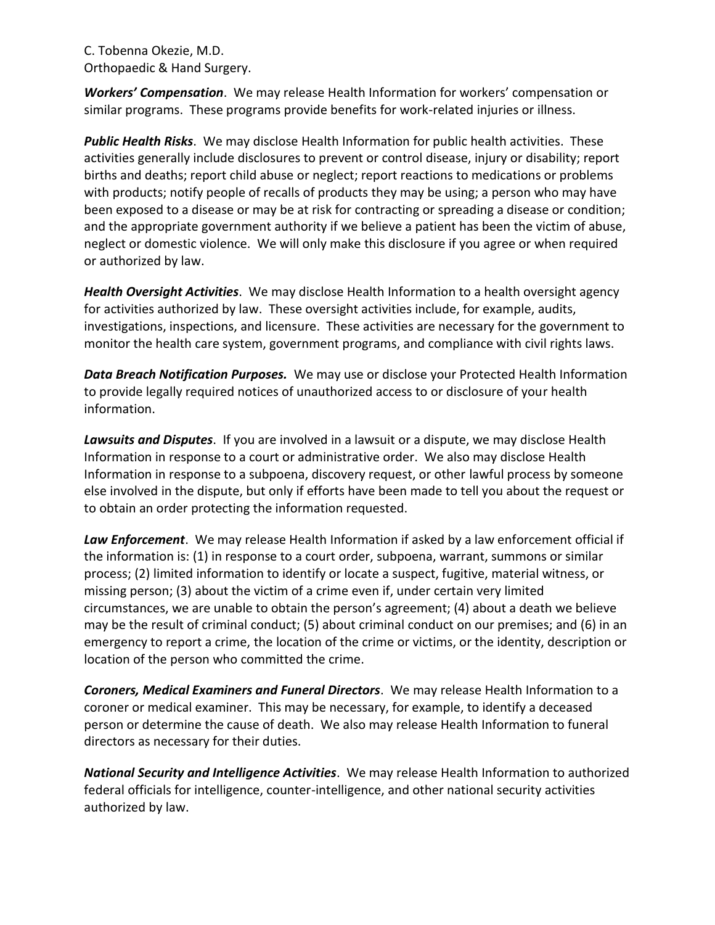*Workers' Compensation*. We may release Health Information for workers' compensation or similar programs. These programs provide benefits for work-related injuries or illness.

*Public Health Risks*. We may disclose Health Information for public health activities. These activities generally include disclosures to prevent or control disease, injury or disability; report births and deaths; report child abuse or neglect; report reactions to medications or problems with products; notify people of recalls of products they may be using; a person who may have been exposed to a disease or may be at risk for contracting or spreading a disease or condition; and the appropriate government authority if we believe a patient has been the victim of abuse, neglect or domestic violence. We will only make this disclosure if you agree or when required or authorized by law.

*Health Oversight Activities*. We may disclose Health Information to a health oversight agency for activities authorized by law. These oversight activities include, for example, audits, investigations, inspections, and licensure. These activities are necessary for the government to monitor the health care system, government programs, and compliance with civil rights laws.

*Data Breach Notification Purposes.* We may use or disclose your Protected Health Information to provide legally required notices of unauthorized access to or disclosure of your health information.

*Lawsuits and Disputes*. If you are involved in a lawsuit or a dispute, we may disclose Health Information in response to a court or administrative order. We also may disclose Health Information in response to a subpoena, discovery request, or other lawful process by someone else involved in the dispute, but only if efforts have been made to tell you about the request or to obtain an order protecting the information requested.

*Law Enforcement*. We may release Health Information if asked by a law enforcement official if the information is: (1) in response to a court order, subpoena, warrant, summons or similar process; (2) limited information to identify or locate a suspect, fugitive, material witness, or missing person; (3) about the victim of a crime even if, under certain very limited circumstances, we are unable to obtain the person's agreement; (4) about a death we believe may be the result of criminal conduct; (5) about criminal conduct on our premises; and (6) in an emergency to report a crime, the location of the crime or victims, or the identity, description or location of the person who committed the crime.

*Coroners, Medical Examiners and Funeral Directors*. We may release Health Information to a coroner or medical examiner. This may be necessary, for example, to identify a deceased person or determine the cause of death. We also may release Health Information to funeral directors as necessary for their duties.

*National Security and Intelligence Activities*. We may release Health Information to authorized federal officials for intelligence, counter-intelligence, and other national security activities authorized by law.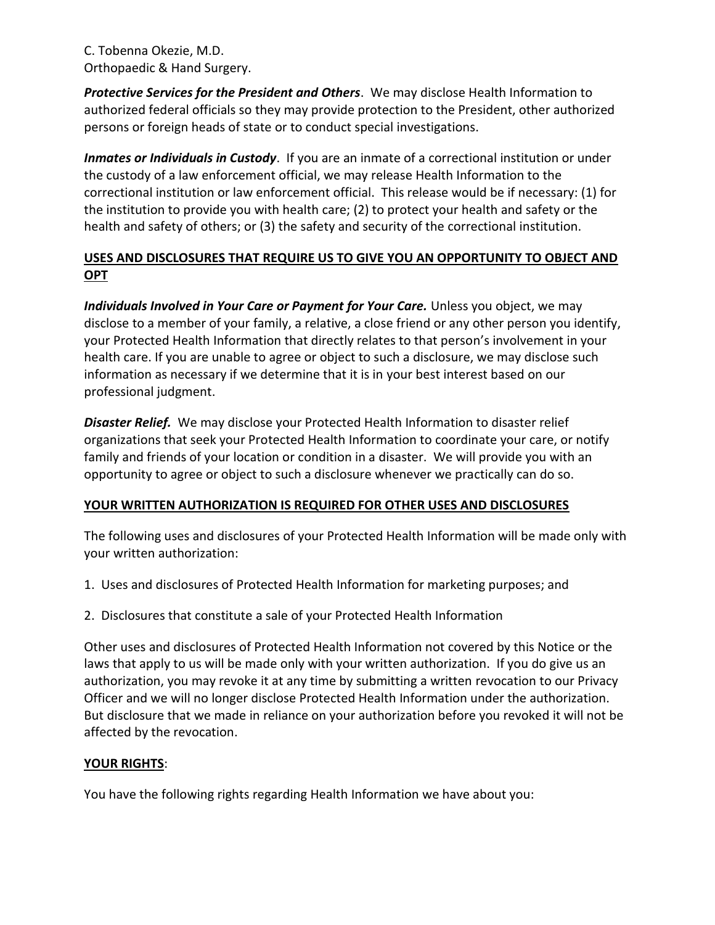*Protective Services for the President and Others*. We may disclose Health Information to authorized federal officials so they may provide protection to the President, other authorized persons or foreign heads of state or to conduct special investigations.

*Inmates or Individuals in Custody*. If you are an inmate of a correctional institution or under the custody of a law enforcement official, we may release Health Information to the correctional institution or law enforcement official. This release would be if necessary: (1) for the institution to provide you with health care; (2) to protect your health and safety or the health and safety of others; or (3) the safety and security of the correctional institution.

## **USES AND DISCLOSURES THAT REQUIRE US TO GIVE YOU AN OPPORTUNITY TO OBJECT AND OPT**

*Individuals Involved in Your Care or Payment for Your Care.* Unless you object, we may disclose to a member of your family, a relative, a close friend or any other person you identify, your Protected Health Information that directly relates to that person's involvement in your health care. If you are unable to agree or object to such a disclosure, we may disclose such information as necessary if we determine that it is in your best interest based on our professional judgment.

*Disaster Relief.* We may disclose your Protected Health Information to disaster relief organizations that seek your Protected Health Information to coordinate your care, or notify family and friends of your location or condition in a disaster. We will provide you with an opportunity to agree or object to such a disclosure whenever we practically can do so.

## **YOUR WRITTEN AUTHORIZATION IS REQUIRED FOR OTHER USES AND DISCLOSURES**

The following uses and disclosures of your Protected Health Information will be made only with your written authorization:

- 1. Uses and disclosures of Protected Health Information for marketing purposes; and
- 2. Disclosures that constitute a sale of your Protected Health Information

Other uses and disclosures of Protected Health Information not covered by this Notice or the laws that apply to us will be made only with your written authorization. If you do give us an authorization, you may revoke it at any time by submitting a written revocation to our Privacy Officer and we will no longer disclose Protected Health Information under the authorization. But disclosure that we made in reliance on your authorization before you revoked it will not be affected by the revocation.

## **YOUR RIGHTS**:

You have the following rights regarding Health Information we have about you: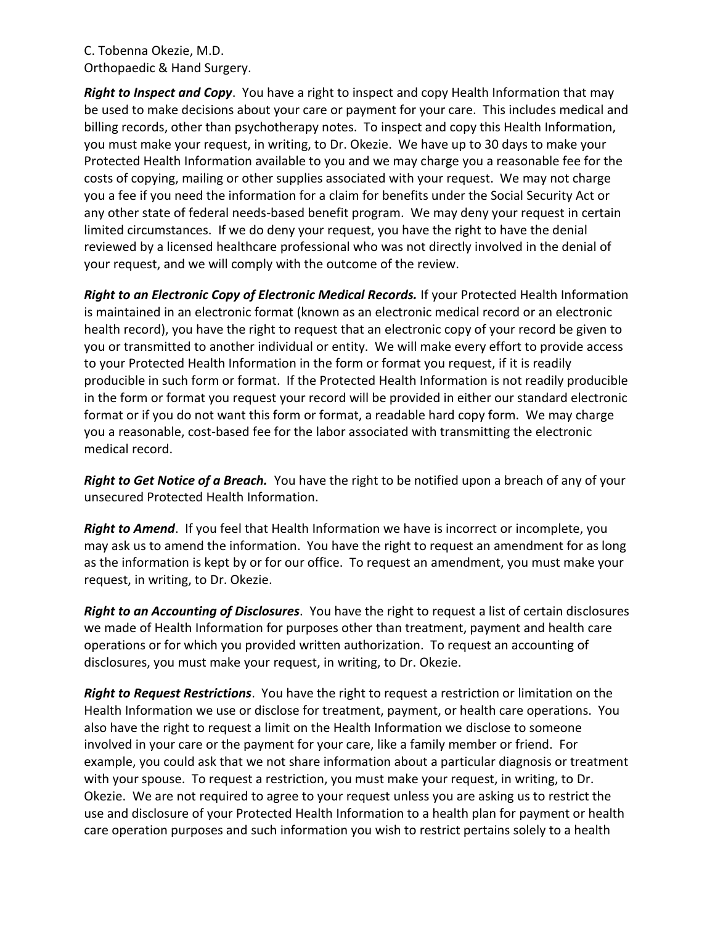*Right to Inspect and Copy*. You have a right to inspect and copy Health Information that may be used to make decisions about your care or payment for your care. This includes medical and billing records, other than psychotherapy notes. To inspect and copy this Health Information, you must make your request, in writing, to Dr. Okezie. We have up to 30 days to make your Protected Health Information available to you and we may charge you a reasonable fee for the costs of copying, mailing or other supplies associated with your request. We may not charge you a fee if you need the information for a claim for benefits under the Social Security Act or any other state of federal needs-based benefit program. We may deny your request in certain limited circumstances. If we do deny your request, you have the right to have the denial reviewed by a licensed healthcare professional who was not directly involved in the denial of your request, and we will comply with the outcome of the review.

*Right to an Electronic Copy of Electronic Medical Records.* If your Protected Health Information is maintained in an electronic format (known as an electronic medical record or an electronic health record), you have the right to request that an electronic copy of your record be given to you or transmitted to another individual or entity. We will make every effort to provide access to your Protected Health Information in the form or format you request, if it is readily producible in such form or format. If the Protected Health Information is not readily producible in the form or format you request your record will be provided in either our standard electronic format or if you do not want this form or format, a readable hard copy form. We may charge you a reasonable, cost-based fee for the labor associated with transmitting the electronic medical record.

*Right to Get Notice of a Breach.* You have the right to be notified upon a breach of any of your unsecured Protected Health Information.

*Right to Amend*. If you feel that Health Information we have is incorrect or incomplete, you may ask us to amend the information. You have the right to request an amendment for as long as the information is kept by or for our office. To request an amendment, you must make your request, in writing, to Dr. Okezie.

*Right to an Accounting of Disclosures*. You have the right to request a list of certain disclosures we made of Health Information for purposes other than treatment, payment and health care operations or for which you provided written authorization. To request an accounting of disclosures, you must make your request, in writing, to Dr. Okezie.

*Right to Request Restrictions*. You have the right to request a restriction or limitation on the Health Information we use or disclose for treatment, payment, or health care operations. You also have the right to request a limit on the Health Information we disclose to someone involved in your care or the payment for your care, like a family member or friend. For example, you could ask that we not share information about a particular diagnosis or treatment with your spouse. To request a restriction, you must make your request, in writing, to Dr. Okezie. We are not required to agree to your request unless you are asking us to restrict the use and disclosure of your Protected Health Information to a health plan for payment or health care operation purposes and such information you wish to restrict pertains solely to a health